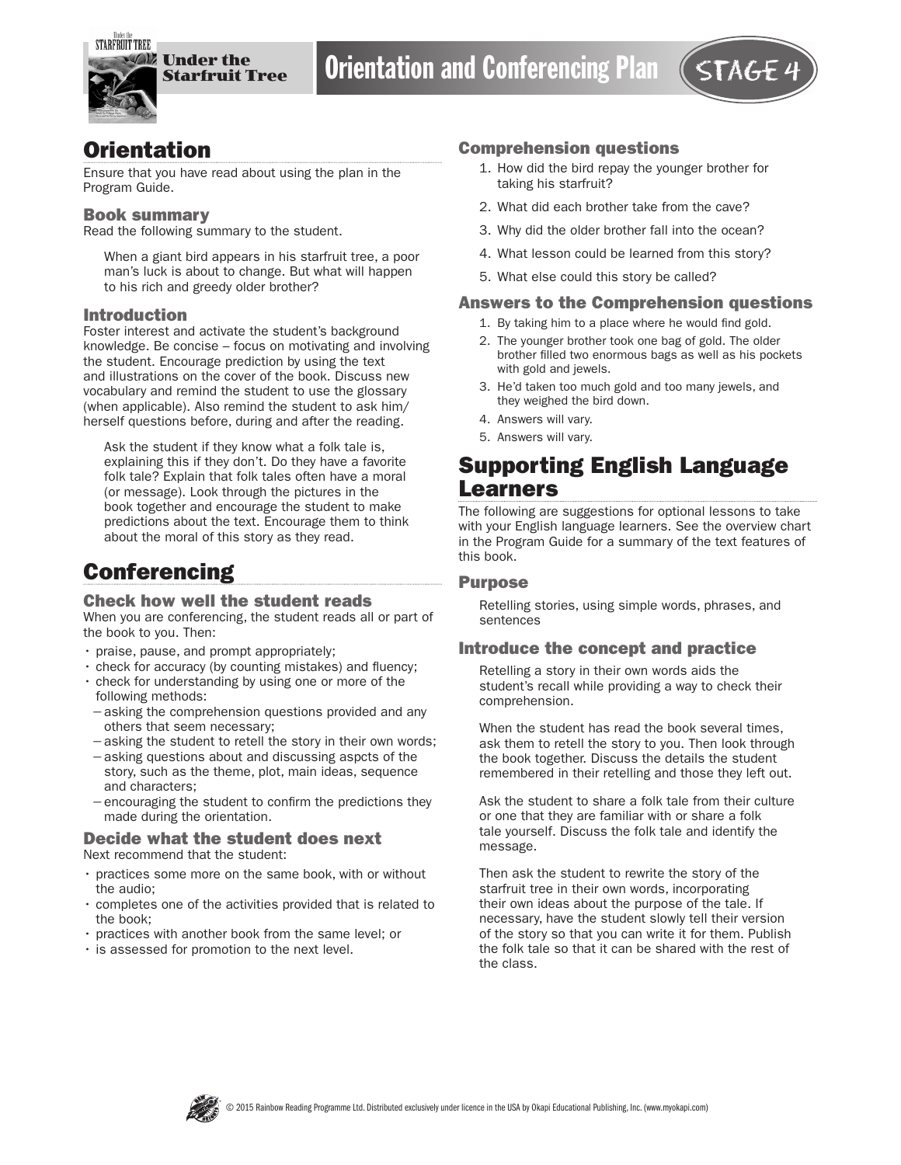

## **Orientation**

Ensure that you have read about using the plan in the Program Guide.

#### Book summary

Read the following summary to the student.

When a giant bird appears in his starfruit tree, a poor man's luck is about to change. But what will happen to his rich and greedy older brother?

#### Introduction

Foster interest and activate the student's background knowledge. Be concise – focus on motivating and involving the student. Encourage prediction by using the text and illustrations on the cover of the book. Discuss new vocabulary and remind the student to use the glossary (when applicable). Also remind the student to ask him/ herself questions before, during and after the reading.

Ask the student if they know what a folk tale is, explaining this if they don't. Do they have a favorite folk tale? Explain that folk tales often have a moral (or message). Look through the pictures in the book together and encourage the student to make predictions about the text. Encourage them to think about the moral of this story as they read.

# **Conferencing**

#### Check how well the student reads

When you are conferencing, the student reads all or part of the book to you. Then:

- praise, pause, and prompt appropriately;
- check for accuracy (by counting mistakes) and fluency;
- check for understanding by using one or more of the following methods:
- −asking the comprehension questions provided and any others that seem necessary;
- −asking the student to retell the story in their own words;
- −asking questions about and discussing aspcts of the story, such as the theme, plot, main ideas, sequence and characters;
- −encouraging the student to confirm the predictions they made during the orientation.

## Decide what the student does next

Next recommend that the student:

- practices some more on the same book, with or without the audio;
- completes one of the activities provided that is related to the book;
- practices with another book from the same level; or
- is assessed for promotion to the next level.

#### Comprehension questions

- 1. How did the bird repay the younger brother for taking his starfruit?
- 2. What did each brother take from the cave?
- 3. Why did the older brother fall into the ocean?
- 4. What lesson could be learned from this story?
- 5. What else could this story be called?

#### Answers to the Comprehension questions

- 1. By taking him to a place where he would find gold.
- 2. The younger brother took one bag of gold. The older brother filled two enormous bags as well as his pockets with gold and jewels.
- 3. He'd taken too much gold and too many jewels, and they weighed the bird down.
- 4. Answers will vary.
- 5. Answers will vary.

## Supporting English Language Learners

The following are suggestions for optional lessons to take with your English language learners. See the overview chart in the Program Guide for a summary of the text features of this book.

#### Purpose

Retelling stories, using simple words, phrases, and sentences

### Introduce the concept and practice

Retelling a story in their own words aids the student's recall while providing a way to check their comprehension.

When the student has read the book several times, ask them to retell the story to you. Then look through the book together. Discuss the details the student remembered in their retelling and those they left out.

Ask the student to share a folk tale from their culture or one that they are familiar with or share a folk tale yourself. Discuss the folk tale and identify the message.

Then ask the student to rewrite the story of the starfruit tree in their own words, incorporating their own ideas about the purpose of the tale. If necessary, have the student slowly tell their version of the story so that you can write it for them. Publish the folk tale so that it can be shared with the rest of the class.

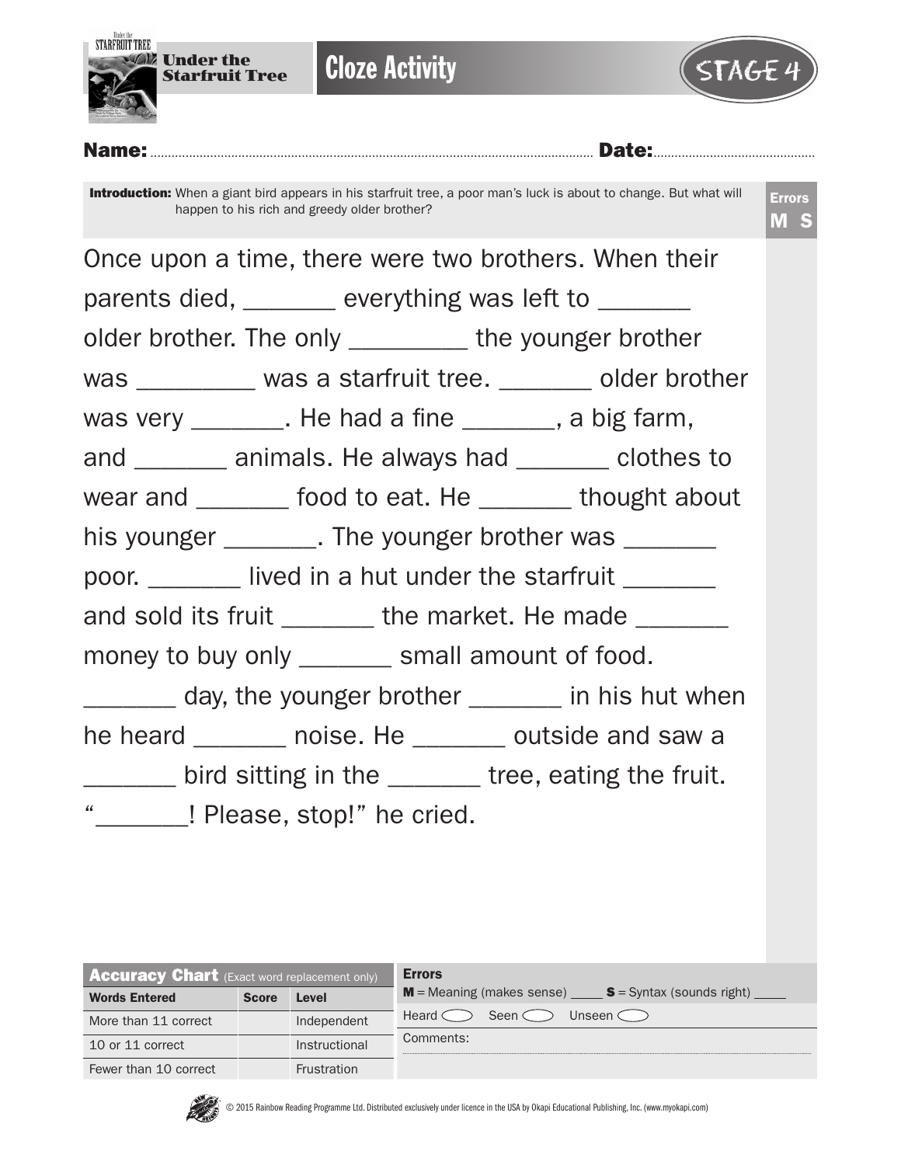

**Cloze Activity** 



### Name:.............................................................................................................................. Date:..............................................

Introduction: When a giant bird appears in his starfruit tree, a poor man's luck is about to change. But what will happen to his rich and greedy older brother?

|                                                 | Once upon a time, there were two brothers. When their      |
|-------------------------------------------------|------------------------------------------------------------|
|                                                 | parents died, ______ everything was left to _______        |
|                                                 | older brother. The only ___________ the younger brother    |
|                                                 | was _________ was a starfruit tree. _______ older brother  |
|                                                 | was very ________. He had a fine _______, a big farm,      |
|                                                 | and _______ animals. He always had _______ clothes to      |
|                                                 | wear and ________ food to eat. He ________ thought about   |
|                                                 | his younger ________. The younger brother was ________     |
|                                                 | poor. ________ lived in a hut under the starfruit _______  |
|                                                 | and sold its fruit ________ the market. He made _______    |
| money to buy only _______ small amount of food. |                                                            |
|                                                 | day, the younger brother ______ in his hut when            |
|                                                 | he heard _______ noise. He _______ outside and saw a       |
|                                                 | _______ bird sitting in the ______ tree, eating the fruit. |
| " <b>_______!</b> Please, stop!" he cried.      |                                                            |

| <b>Accuracy Chart</b> (Exact word replacement only) |              |               | <b>Errors</b>                                              |
|-----------------------------------------------------|--------------|---------------|------------------------------------------------------------|
| <b>Words Entered</b>                                | <b>Score</b> | Level         | $M$ = Meaning (makes sense)<br>$S =$ Syntax (sounds right) |
| More than 11 correct                                |              | Independent   | Heard of<br>Seen $\subset$<br>Unseen $\subset$             |
| 10 or 11 correct                                    |              | Instructional | Comments:                                                  |
| Fewer than 10 correct                               |              | Frustration   |                                                            |

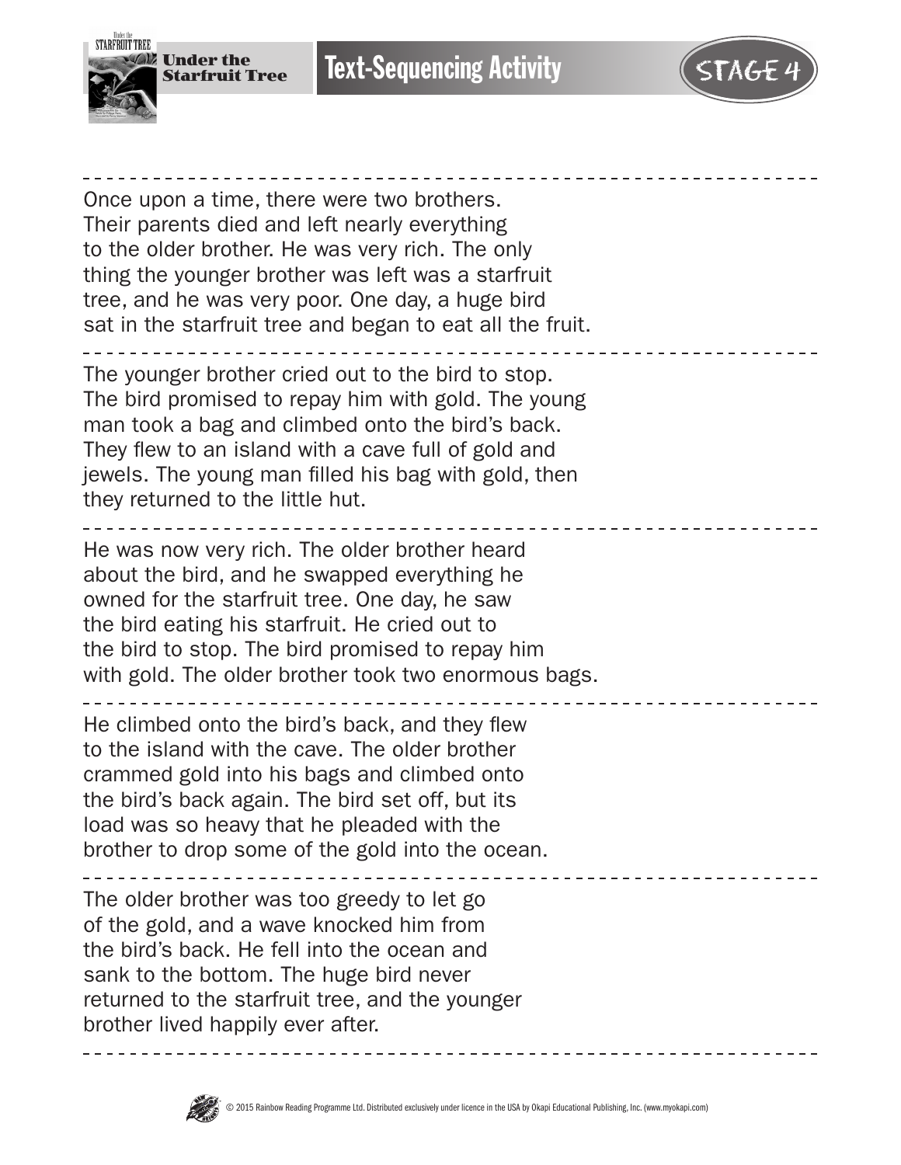



Once upon a time, there were two brothers. Their parents died and left nearly everything to the older brother. He was very rich. The only thing the younger brother was left was a starfruit tree, and he was very poor. One day, a huge bird sat in the starfruit tree and began to eat all the fruit.

The younger brother cried out to the bird to stop. The bird promised to repay him with gold. The young man took a bag and climbed onto the bird's back. They flew to an island with a cave full of gold and jewels. The young man filled his bag with gold, then they returned to the little hut.

He was now very rich. The older brother heard about the bird, and he swapped everything he owned for the starfruit tree. One day, he saw the bird eating his starfruit. He cried out to the bird to stop. The bird promised to repay him with gold. The older brother took two enormous bags.

He climbed onto the bird's back, and they flew to the island with the cave. The older brother crammed gold into his bags and climbed onto the bird's back again. The bird set off, but its load was so heavy that he pleaded with the brother to drop some of the gold into the ocean.

The older brother was too greedy to let go of the gold, and a wave knocked him from the bird's back. He fell into the ocean and sank to the bottom. The huge bird never returned to the starfruit tree, and the younger brother lived happily ever after.

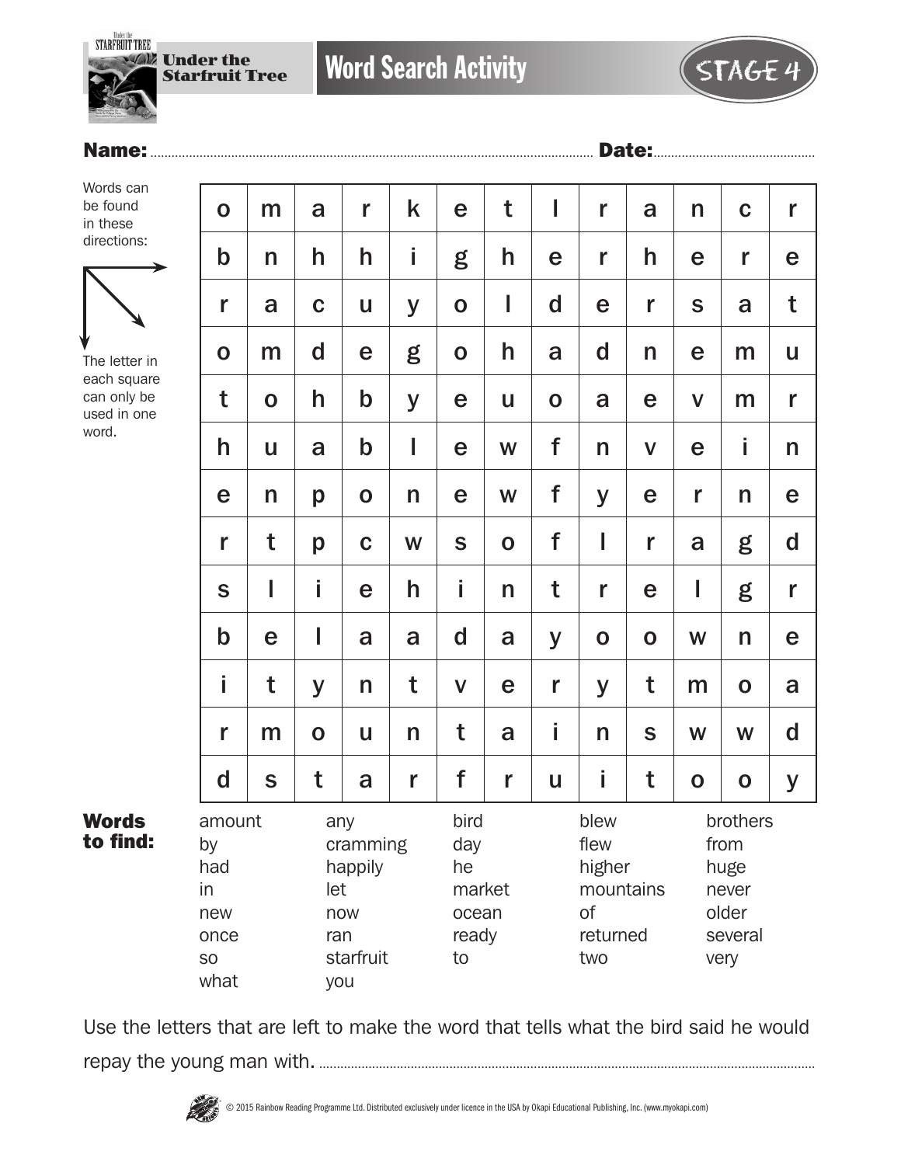**STARFRUIT TREE** 

**W** Under the Starfruit Tree

Word Search Activity  $\left( \begin{array}{c} \sqrt{\sqrt{1-\frac{1}{2}}\sqrt{1-\frac{1}{2}}\sqrt{1-\frac{1}{2}}\sqrt{1-\frac{1}{2}}\sqrt{1-\frac{1}{2}}\sqrt{1-\frac{1}{2}}\sqrt{1-\frac{1}{2}}\sqrt{1-\frac{1}{2}}\sqrt{1-\frac{1}{2}}\sqrt{1-\frac{1}{2}}\sqrt{1-\frac{1}{2}}\sqrt{1-\frac{1}{2}}\sqrt{1-\frac{1}{2}}\sqrt{1-\frac{1}{2}}\sqrt{1-\frac{1}{2}}\sqrt{1-\frac{1}{2}}\sqrt{1-\frac{1}{2}}$ 

## Name:.............................................................................................................................. Date:..............................................

Words can be found in these directions:



The letter in each square can only be used in one word.

Words to find:

| $\mathbf O$                                                         | m            | a                        | r                                       | k            | e                                                   | t           | I           | r                                                            | a            | n            | $\mathbf C$                                                   | r           |
|---------------------------------------------------------------------|--------------|--------------------------|-----------------------------------------|--------------|-----------------------------------------------------|-------------|-------------|--------------------------------------------------------------|--------------|--------------|---------------------------------------------------------------|-------------|
| $\mathbf b$                                                         | $\mathsf{n}$ | h                        | h                                       | İ            | g                                                   | h           | e           | r                                                            | h            | e            | r                                                             | e           |
| r                                                                   | a            | $\mathbf C$              | U                                       | y            | $\mathbf 0$                                         | I           | $\mathbf d$ | e                                                            | r            | S            | a                                                             | t           |
| $\mathbf 0$                                                         | m            | d                        | e                                       | g            | $\mathbf 0$                                         | h           | a           | $\mathbf d$                                                  | n            | e            | m                                                             | U           |
| t                                                                   | $\mathbf O$  | h                        | $\mathbf b$                             | y            | e                                                   | U           | $\mathbf 0$ | a                                                            | e            | $\mathsf{V}$ | m                                                             | r           |
| h                                                                   | U            | a                        | $\mathbf b$                             | I            | e                                                   | W           | f           | n                                                            | $\mathsf{V}$ | e            | İ                                                             | n           |
| e                                                                   | n            | p                        | $\mathbf 0$                             | n            | e                                                   | W           | f           | y                                                            | e            | r            | n                                                             | e           |
| r                                                                   | t            | p                        | $\mathbf C$                             | W            | $\mathbf S$                                         | $\mathbf O$ | f           | I                                                            | r            | a            | g                                                             | $\mathbf d$ |
| $\mathbf S$                                                         | I            | İ                        | e                                       | h            | İ                                                   | n           | t           | r                                                            | e            | I            | g                                                             | r           |
| $\mathbf b$                                                         | e            | I                        | a                                       | a            | $\mathbf d$                                         | a           | y           | $\mathbf 0$                                                  | $\mathbf 0$  | W            | n                                                             | e           |
| i                                                                   | t            | y                        | n                                       | t            | $\mathsf{V}$                                        | e           | r           | y                                                            | t            | m            | $\mathbf O$                                                   | a           |
| r                                                                   | m            | $\mathbf 0$              | u                                       | $\mathsf{n}$ | t                                                   | a           | İ           | n                                                            | $\mathbf S$  | W            | W                                                             | $\mathbf d$ |
| $\mathbf d$                                                         | S            | t                        | a                                       | r            | f                                                   | r           | U           | i                                                            | t            | $\mathbf 0$  | $\mathbf O$                                                   | y           |
| amount<br>by<br>had<br>in<br>new<br>once<br>SO <sub>1</sub><br>what |              | any<br>let<br>ran<br>you | cramming<br>happily<br>now<br>starfruit |              | bird<br>day<br>he<br>market<br>ocean<br>ready<br>to |             |             | blew<br>flew<br>higher<br>mountains<br>of<br>returned<br>two |              |              | brothers<br>from<br>huge<br>never<br>older<br>several<br>very |             |

Use the letters that are left to make the word that tells what the bird said he would repay the young man with. .............................................................................................................................................

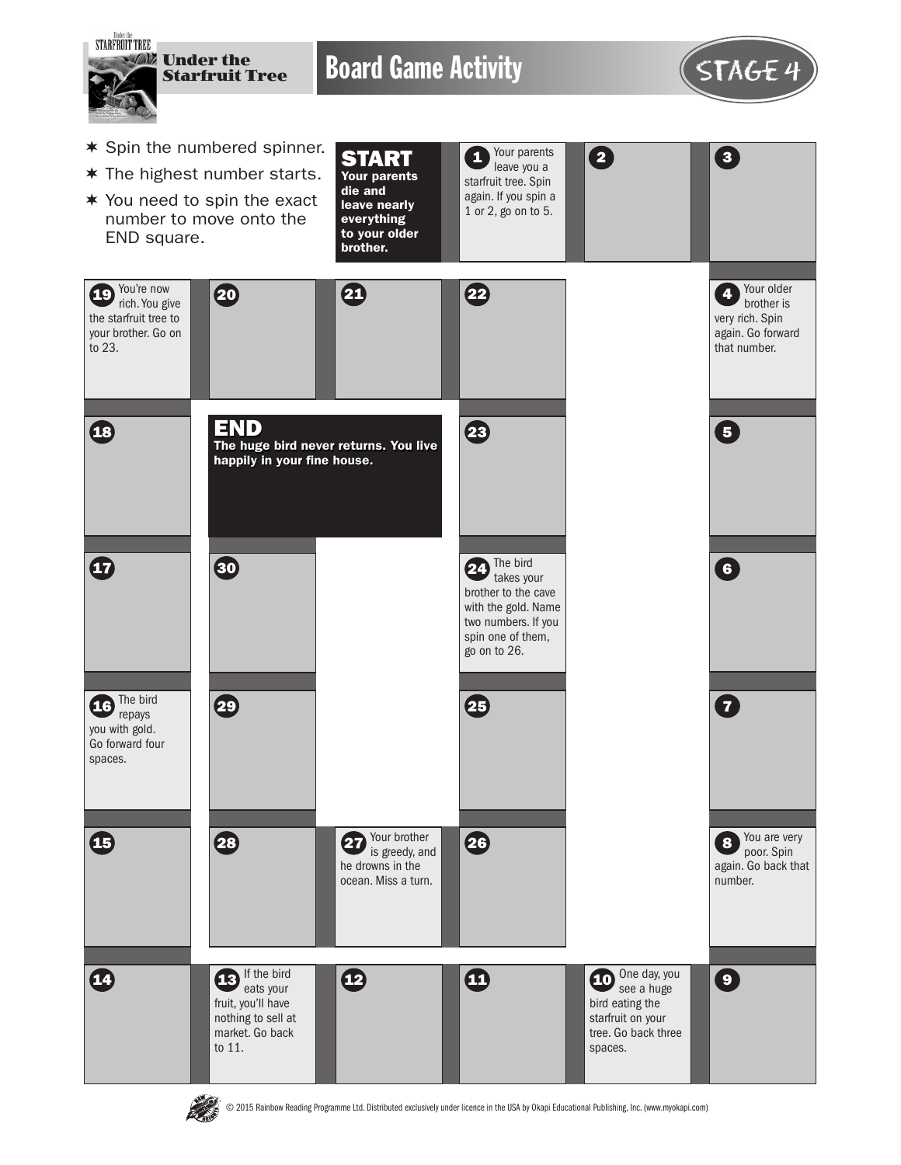

**THE STATE** 

© 2015 Rainbow Reading Programme Ltd. Distributed exclusively under licence in the USA by Okapi Educational Publishing, Inc. (www.myokapi.com)